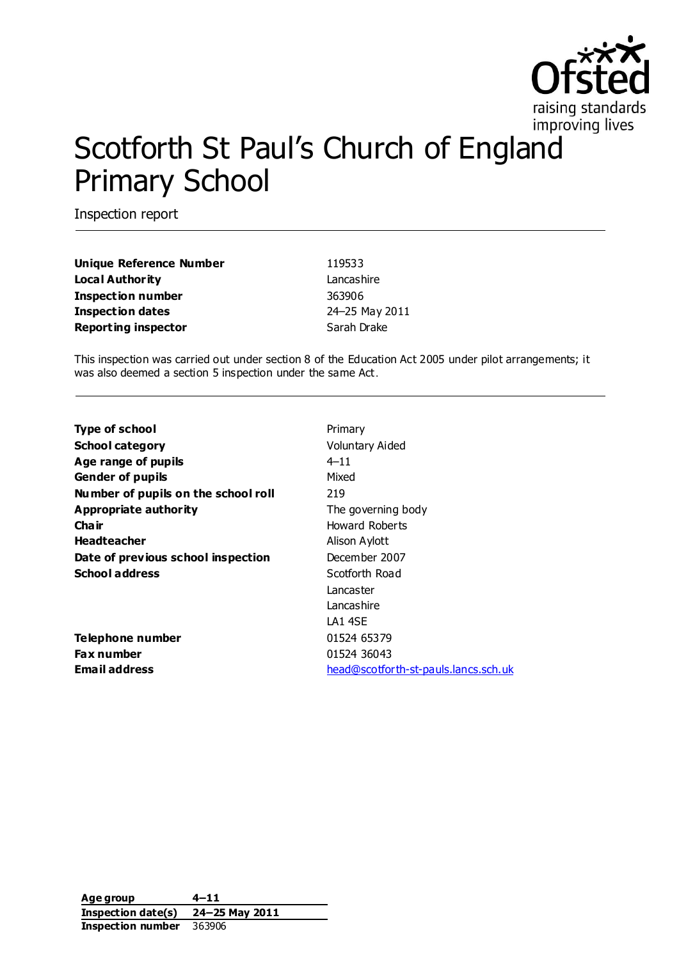

# Scotforth St Paul's Church of England Primary School

Inspection report

| <b>Unique Reference Number</b> | 119533         |
|--------------------------------|----------------|
| Local Authority                | Lancashire     |
| Inspection number              | 363906         |
| <b>Inspection dates</b>        | 24-25 May 2011 |
| <b>Reporting inspector</b>     | Sarah Drake    |

This inspection was carried out under section 8 of the Education Act 2005 under pilot arrangements; it was also deemed a section 5 inspection under the same Act.

| Type of school                      | Primary                              |
|-------------------------------------|--------------------------------------|
| School category                     | Voluntary Aided                      |
| Age range of pupils                 | $4 - 11$                             |
| <b>Gender of pupils</b>             | Mixed                                |
| Number of pupils on the school roll | 219                                  |
| <b>Appropriate authority</b>        | The governing body                   |
| Cha ir                              | Howard Roberts                       |
| <b>Headteacher</b>                  | Alison Aylott                        |
| Date of previous school inspection  | December 2007                        |
| <b>School address</b>               | Scotforth Road                       |
|                                     | Lancaster                            |
|                                     | Lancashire                           |
|                                     | LA1 4SE                              |
| Telephone number                    | 01524 65379                          |
| Fax number                          | 01524 36043                          |
| Email address                       | head@scotforth-st-pauls.lancs.sch.uk |
|                                     |                                      |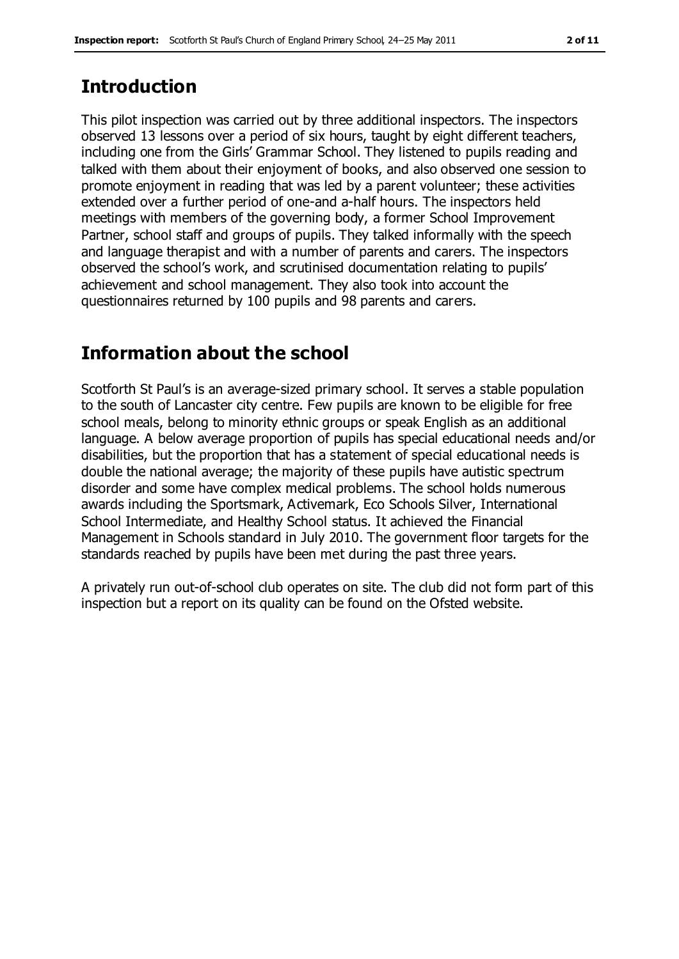# **Introduction**

This pilot inspection was carried out by three additional inspectors. The inspectors observed 13 lessons over a period of six hours, taught by eight different teachers, including one from the Girls' Grammar School. They listened to pupils reading and talked with them about their enjoyment of books, and also observed one session to promote enjoyment in reading that was led by a parent volunteer; these activities extended over a further period of one-and a-half hours. The inspectors held meetings with members of the governing body, a former School Improvement Partner, school staff and groups of pupils. They talked informally with the speech and language therapist and with a number of parents and carers. The inspectors observed the school's work, and scrutinised documentation relating to pupils' achievement and school management. They also took into account the questionnaires returned by 100 pupils and 98 parents and carers.

# **Information about the school**

Scotforth St Paul's is an average-sized primary school. It serves a stable population to the south of Lancaster city centre. Few pupils are known to be eligible for free school meals, belong to minority ethnic groups or speak English as an additional language. A below average proportion of pupils has special educational needs and/or disabilities, but the proportion that has a statement of special educational needs is double the national average; the majority of these pupils have autistic spectrum disorder and some have complex medical problems. The school holds numerous awards including the Sportsmark, Activemark, Eco Schools Silver, International School Intermediate, and Healthy School status. It achieved the Financial Management in Schools standard in July 2010. The government floor targets for the standards reached by pupils have been met during the past three years.

A privately run out-of-school club operates on site. The club did not form part of this inspection but a report on its quality can be found on the Ofsted website.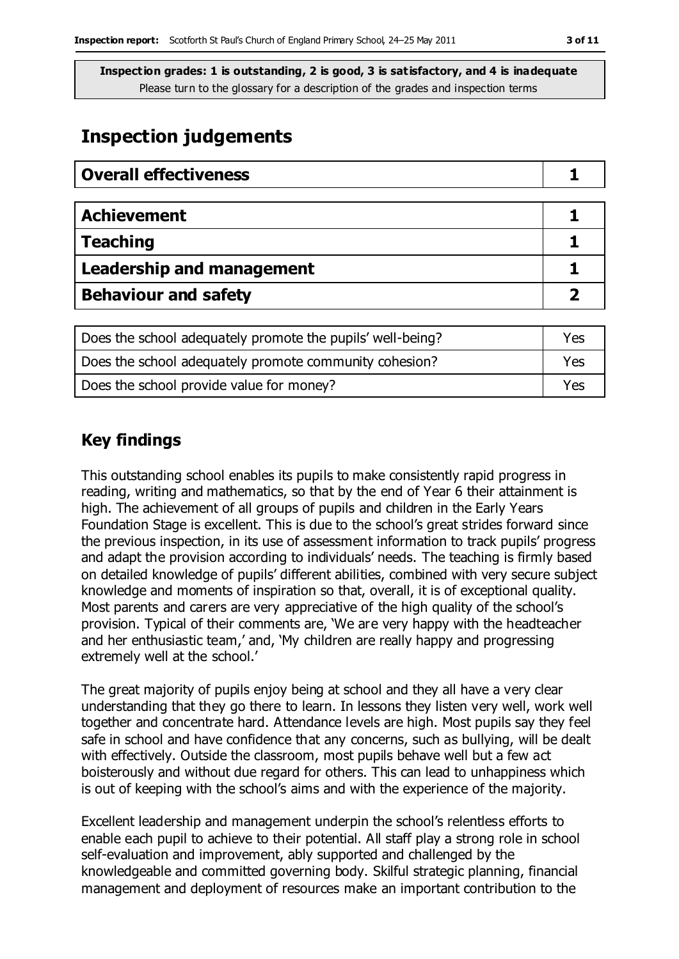## **Inspection judgements**

| <b>Overall effectiveness</b>     |  |
|----------------------------------|--|
|                                  |  |
| <b>Achievement</b>               |  |
| <b>Teaching</b>                  |  |
| <b>Leadership and management</b> |  |
| <b>Behaviour and safety</b>      |  |

| Does the school adequately promote the pupils' well-being? | Yes |
|------------------------------------------------------------|-----|
| Does the school adequately promote community cohesion?     | Yes |
| Does the school provide value for money?                   | Yes |

## **Key findings**

This outstanding school enables its pupils to make consistently rapid progress in reading, writing and mathematics, so that by the end of Year 6 their attainment is high. The achievement of all groups of pupils and children in the Early Years Foundation Stage is excellent. This is due to the school's great strides forward since the previous inspection, in its use of assessment information to track pupils' progress and adapt the provision according to individuals' needs. The teaching is firmly based on detailed knowledge of pupils' different abilities, combined with very secure subject knowledge and moments of inspiration so that, overall, it is of exceptional quality. Most parents and carers are very appreciative of the high quality of the school's provision. Typical of their comments are, 'We are very happy with the headteacher and her enthusiastic team,' and, 'My children are really happy and progressing extremely well at the school.'

The great majority of pupils enjoy being at school and they all have a very clear understanding that they go there to learn. In lessons they listen very well, work well together and concentrate hard. Attendance levels are high. Most pupils say they feel safe in school and have confidence that any concerns, such as bullying, will be dealt with effectively. Outside the classroom, most pupils behave well but a few act boisterously and without due regard for others. This can lead to unhappiness which is out of keeping with the school's aims and with the experience of the majority.

Excellent leadership and management underpin the school's relentless efforts to enable each pupil to achieve to their potential. All staff play a strong role in school self-evaluation and improvement, ably supported and challenged by the knowledgeable and committed governing body. Skilful strategic planning, financial management and deployment of resources make an important contribution to the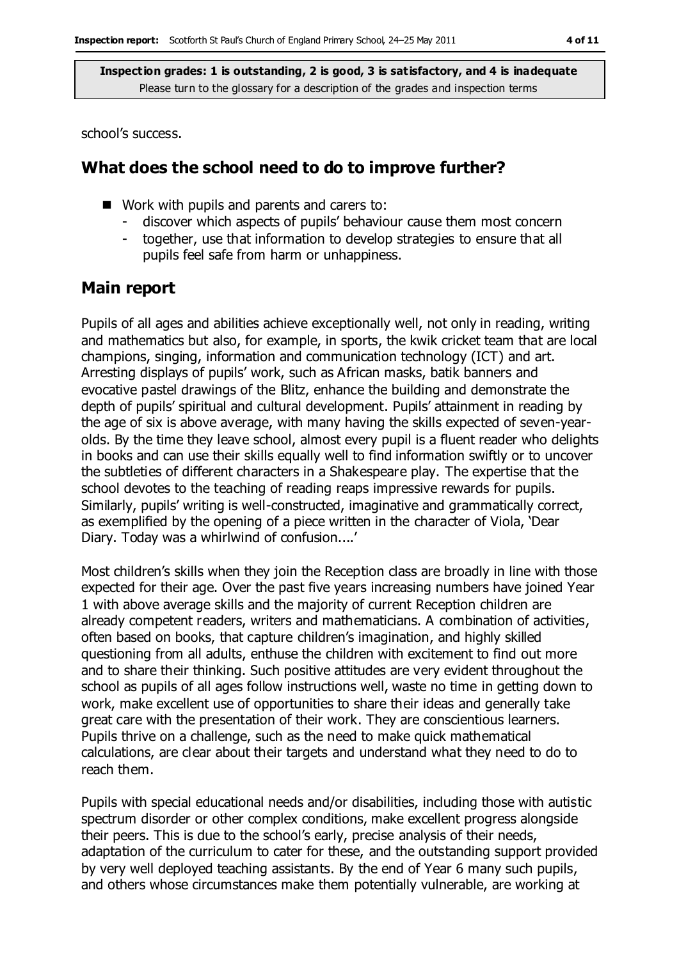school's success.

### **What does the school need to do to improve further?**

- Work with pupils and parents and carers to:
	- discover which aspects of pupils' behaviour cause them most concern
	- together, use that information to develop strategies to ensure that all pupils feel safe from harm or unhappiness.

#### **Main report**

Pupils of all ages and abilities achieve exceptionally well, not only in reading, writing and mathematics but also, for example, in sports, the kwik cricket team that are local champions, singing, information and communication technology (ICT) and art. Arresting displays of pupils' work, such as African masks, batik banners and evocative pastel drawings of the Blitz, enhance the building and demonstrate the depth of pupils' spiritual and cultural development. Pupils' attainment in reading by the age of six is above average, with many having the skills expected of seven-yearolds. By the time they leave school, almost every pupil is a fluent reader who delights in books and can use their skills equally well to find information swiftly or to uncover the subtleties of different characters in a Shakespeare play. The expertise that the school devotes to the teaching of reading reaps impressive rewards for pupils. Similarly, pupils' writing is well-constructed, imaginative and grammatically correct, as exemplified by the opening of a piece written in the character of Viola, 'Dear Diary. Today was a whirlwind of confusion....'

Most children's skills when they join the Reception class are broadly in line with those expected for their age. Over the past five years increasing numbers have joined Year 1 with above average skills and the majority of current Reception children are already competent readers, writers and mathematicians. A combination of activities, often based on books, that capture children's imagination, and highly skilled questioning from all adults, enthuse the children with excitement to find out more and to share their thinking. Such positive attitudes are very evident throughout the school as pupils of all ages follow instructions well, waste no time in getting down to work, make excellent use of opportunities to share their ideas and generally take great care with the presentation of their work. They are conscientious learners. Pupils thrive on a challenge, such as the need to make quick mathematical calculations, are clear about their targets and understand what they need to do to reach them.

Pupils with special educational needs and/or disabilities, including those with autistic spectrum disorder or other complex conditions, make excellent progress alongside their peers. This is due to the school's early, precise analysis of their needs, adaptation of the curriculum to cater for these, and the outstanding support provided by very well deployed teaching assistants. By the end of Year 6 many such pupils, and others whose circumstances make them potentially vulnerable, are working at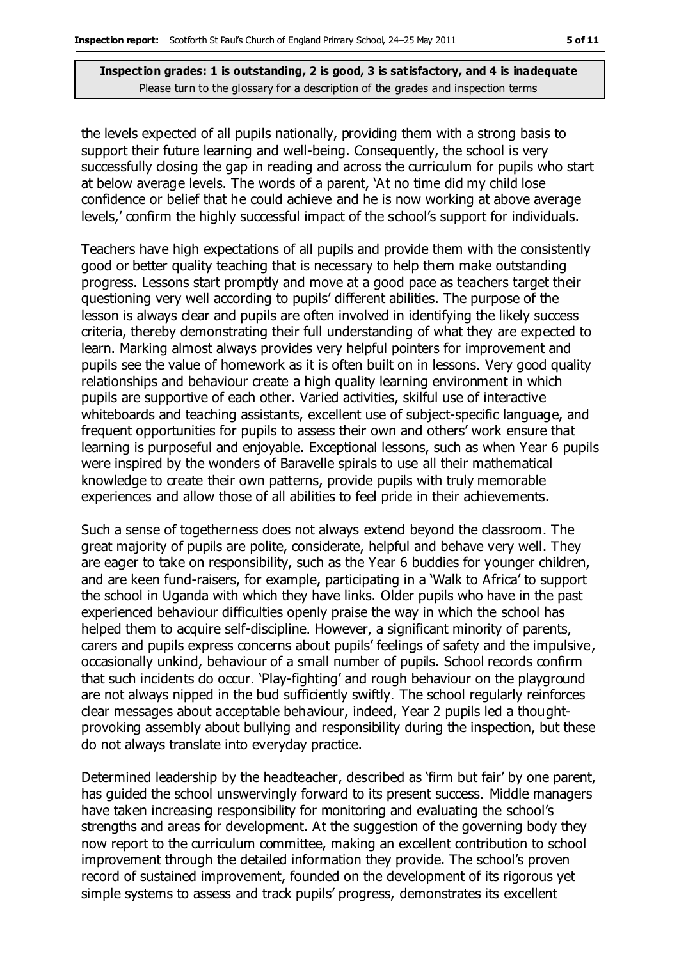the levels expected of all pupils nationally, providing them with a strong basis to support their future learning and well-being. Consequently, the school is very successfully closing the gap in reading and across the curriculum for pupils who start at below average levels. The words of a parent, 'At no time did my child lose confidence or belief that he could achieve and he is now working at above average levels,' confirm the highly successful impact of the school's support for individuals.

Teachers have high expectations of all pupils and provide them with the consistently good or better quality teaching that is necessary to help them make outstanding progress. Lessons start promptly and move at a good pace as teachers target their questioning very well according to pupils' different abilities. The purpose of the lesson is always clear and pupils are often involved in identifying the likely success criteria, thereby demonstrating their full understanding of what they are expected to learn. Marking almost always provides very helpful pointers for improvement and pupils see the value of homework as it is often built on in lessons. Very good quality relationships and behaviour create a high quality learning environment in which pupils are supportive of each other. Varied activities, skilful use of interactive whiteboards and teaching assistants, excellent use of subject-specific language, and frequent opportunities for pupils to assess their own and others' work ensure that learning is purposeful and enjoyable. Exceptional lessons, such as when Year 6 pupils were inspired by the wonders of Baravelle spirals to use all their mathematical knowledge to create their own patterns, provide pupils with truly memorable experiences and allow those of all abilities to feel pride in their achievements.

Such a sense of togetherness does not always extend beyond the classroom. The great majority of pupils are polite, considerate, helpful and behave very well. They are eager to take on responsibility, such as the Year 6 buddies for younger children, and are keen fund-raisers, for example, participating in a 'Walk to Africa' to support the school in Uganda with which they have links. Older pupils who have in the past experienced behaviour difficulties openly praise the way in which the school has helped them to acquire self-discipline. However, a significant minority of parents, carers and pupils express concerns about pupils' feelings of safety and the impulsive, occasionally unkind, behaviour of a small number of pupils. School records confirm that such incidents do occur. 'Play-fighting' and rough behaviour on the playground are not always nipped in the bud sufficiently swiftly. The school regularly reinforces clear messages about acceptable behaviour, indeed, Year 2 pupils led a thoughtprovoking assembly about bullying and responsibility during the inspection, but these do not always translate into everyday practice.

Determined leadership by the headteacher, described as 'firm but fair' by one parent, has guided the school unswervingly forward to its present success. Middle managers have taken increasing responsibility for monitoring and evaluating the school's strengths and areas for development. At the suggestion of the governing body they now report to the curriculum committee, making an excellent contribution to school improvement through the detailed information they provide. The school's proven record of sustained improvement, founded on the development of its rigorous yet simple systems to assess and track pupils' progress, demonstrates its excellent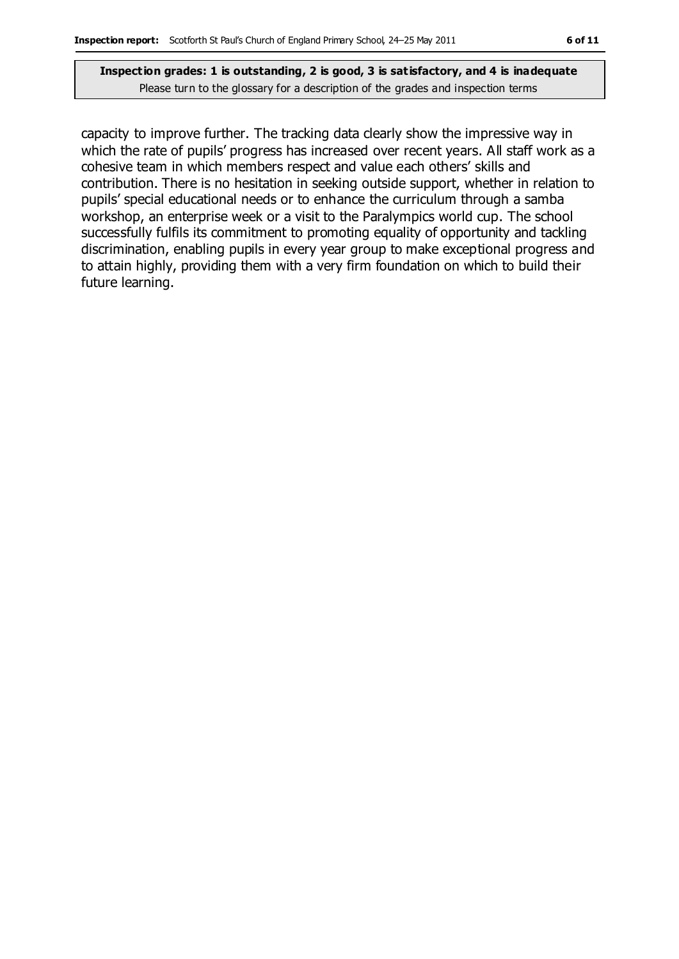capacity to improve further. The tracking data clearly show the impressive way in which the rate of pupils' progress has increased over recent years. All staff work as a cohesive team in which members respect and value each others' skills and contribution. There is no hesitation in seeking outside support, whether in relation to pupils' special educational needs or to enhance the curriculum through a samba workshop, an enterprise week or a visit to the Paralympics world cup. The school successfully fulfils its commitment to promoting equality of opportunity and tackling discrimination, enabling pupils in every year group to make exceptional progress and to attain highly, providing them with a very firm foundation on which to build their future learning.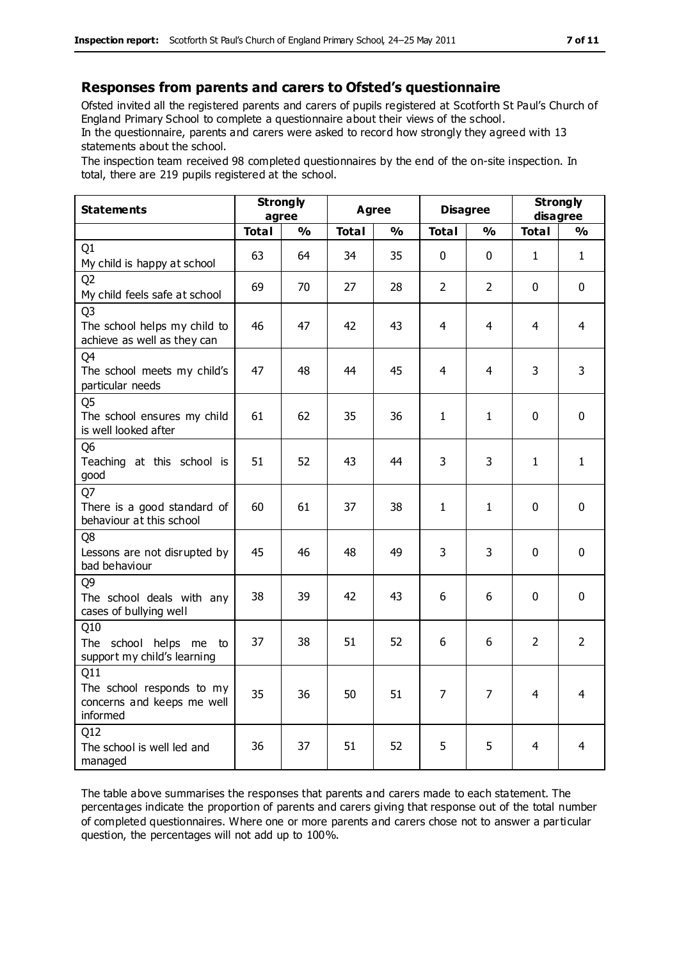#### **Responses from parents and carers to Ofsted's questionnaire**

Ofsted invited all the registered parents and carers of pupils registered at Scotforth St Paul's Church of England Primary School to complete a questionnaire about their views of the school.

In the questionnaire, parents and carers were asked to record how strongly they agreed with 13 statements about the school.

The inspection team received 98 completed questionnaires by the end of the on-site inspection. In total, there are 219 pupils registered at the school.

| <b>Statements</b>                                                             | <b>Strongly</b><br>agree |               | <b>Agree</b> |               | <b>Disagree</b> |                | <b>Strongly</b><br>disagree |                |
|-------------------------------------------------------------------------------|--------------------------|---------------|--------------|---------------|-----------------|----------------|-----------------------------|----------------|
|                                                                               | <b>Total</b>             | $\frac{0}{0}$ | <b>Total</b> | $\frac{0}{0}$ | <b>Total</b>    | $\frac{1}{2}$  | <b>Total</b>                | $\frac{0}{0}$  |
| Q1<br>My child is happy at school                                             | 63                       | 64            | 34           | 35            | 0               | 0              | $\mathbf{1}$                | $\mathbf{1}$   |
| O <sub>2</sub><br>My child feels safe at school                               | 69                       | 70            | 27           | 28            | $\overline{2}$  | $\overline{2}$ | $\mathbf{0}$                | $\mathbf 0$    |
| Q <sub>3</sub><br>The school helps my child to<br>achieve as well as they can | 46                       | 47            | 42           | 43            | 4               | 4              | 4                           | $\overline{4}$ |
| Q4<br>The school meets my child's<br>particular needs                         | 47                       | 48            | 44           | 45            | 4               | $\overline{4}$ | 3                           | 3              |
| Q <sub>5</sub><br>The school ensures my child<br>is well looked after         | 61                       | 62            | 35           | 36            | 1               | $\mathbf{1}$   | $\mathbf{0}$                | $\mathbf 0$    |
| Q <sub>6</sub><br>Teaching at this school is<br>good                          | 51                       | 52            | 43           | 44            | 3               | 3              | $\mathbf{1}$                | $\mathbf{1}$   |
| Q7<br>There is a good standard of<br>behaviour at this school                 | 60                       | 61            | 37           | 38            | 1               | 1              | $\Omega$                    | $\mathbf 0$    |
| Q8<br>Lessons are not disrupted by<br>bad behaviour                           | 45                       | 46            | 48           | 49            | 3               | 3              | $\mathbf 0$                 | $\mathbf 0$    |
| Q <sub>9</sub><br>The school deals with any<br>cases of bullying well         | 38                       | 39            | 42           | 43            | 6               | 6              | $\mathbf 0$                 | $\mathbf 0$    |
| Q10<br>The school helps me to<br>support my child's learning                  | 37                       | 38            | 51           | 52            | 6               | 6              | $\overline{2}$              | $\overline{2}$ |
| Q11<br>The school responds to my<br>concerns and keeps me well<br>informed    | 35                       | 36            | 50           | 51            | $\overline{7}$  | $\overline{7}$ | 4                           | $\overline{4}$ |
| Q12<br>The school is well led and<br>managed                                  | 36                       | 37            | 51           | 52            | 5               | 5              | 4                           | $\overline{4}$ |

The table above summarises the responses that parents and carers made to each statement. The percentages indicate the proportion of parents and carers giving that response out of the total number of completed questionnaires. Where one or more parents and carers chose not to answer a particular question, the percentages will not add up to 100%.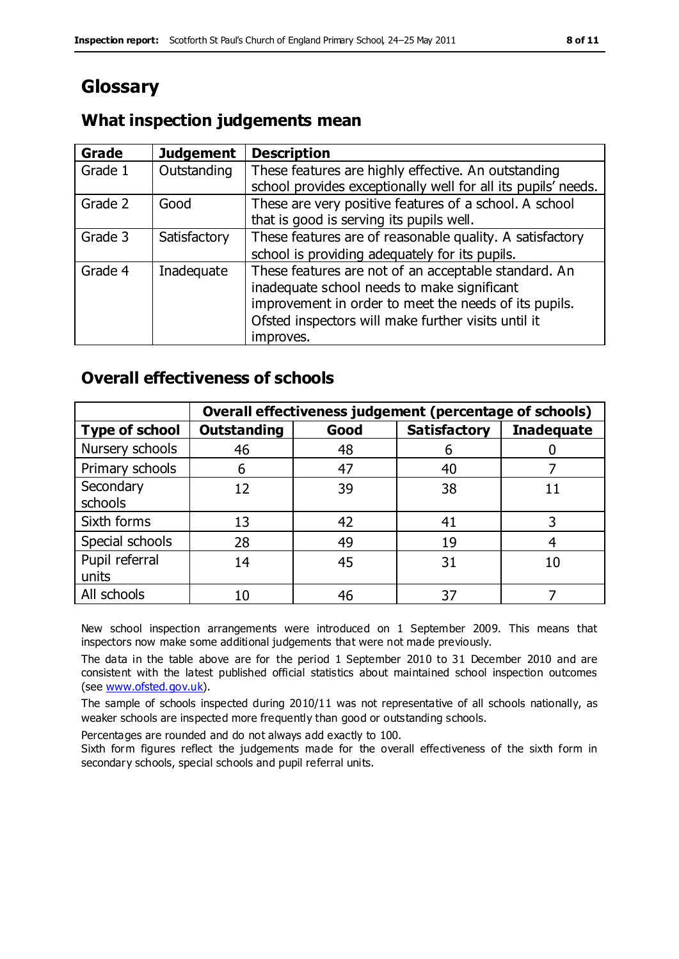# **Glossary**

## **What inspection judgements mean**

| <b>Grade</b> | <b>Judgement</b> | <b>Description</b>                                                                                                                                                                                                               |
|--------------|------------------|----------------------------------------------------------------------------------------------------------------------------------------------------------------------------------------------------------------------------------|
| Grade 1      | Outstanding      | These features are highly effective. An outstanding<br>school provides exceptionally well for all its pupils' needs.                                                                                                             |
| Grade 2      | Good             | These are very positive features of a school. A school<br>that is good is serving its pupils well.                                                                                                                               |
| Grade 3      | Satisfactory     | These features are of reasonable quality. A satisfactory<br>school is providing adequately for its pupils.                                                                                                                       |
| Grade 4      | Inadequate       | These features are not of an acceptable standard. An<br>inadequate school needs to make significant<br>improvement in order to meet the needs of its pupils.<br>Ofsted inspectors will make further visits until it<br>improves. |

## **Overall effectiveness of schools**

|                         | Overall effectiveness judgement (percentage of schools) |      |                     |                   |
|-------------------------|---------------------------------------------------------|------|---------------------|-------------------|
| <b>Type of school</b>   | <b>Outstanding</b>                                      | Good | <b>Satisfactory</b> | <b>Inadequate</b> |
| Nursery schools         | 46                                                      | 48   | 6                   |                   |
| Primary schools         | 6                                                       | 47   | 40                  |                   |
| Secondary<br>schools    | 12                                                      | 39   | 38                  |                   |
| Sixth forms             | 13                                                      | 42   | 41                  |                   |
| Special schools         | 28                                                      | 49   | 19                  |                   |
| Pupil referral<br>units | 14                                                      | 45   | 31                  | 10                |
| All schools             | 10                                                      | 46   | 37                  |                   |

New school inspection arrangements were introduced on 1 September 2009. This means that inspectors now make some additional judgements that were not made previously.

The data in the table above are for the period 1 September 2010 to 31 December 2010 and are consistent with the latest published official statistics about maintained school inspection outcomes (see [www.ofsted.gov.uk\)](http://www.ofsted.gov.uk/).

The sample of schools inspected during 2010/11 was not representative of all schools nationally, as weaker schools are inspected more frequently than good or outstanding schools.

Percentages are rounded and do not always add exactly to 100.

Sixth form figures reflect the judgements made for the overall effectiveness of the sixth form in secondary schools, special schools and pupil referral units.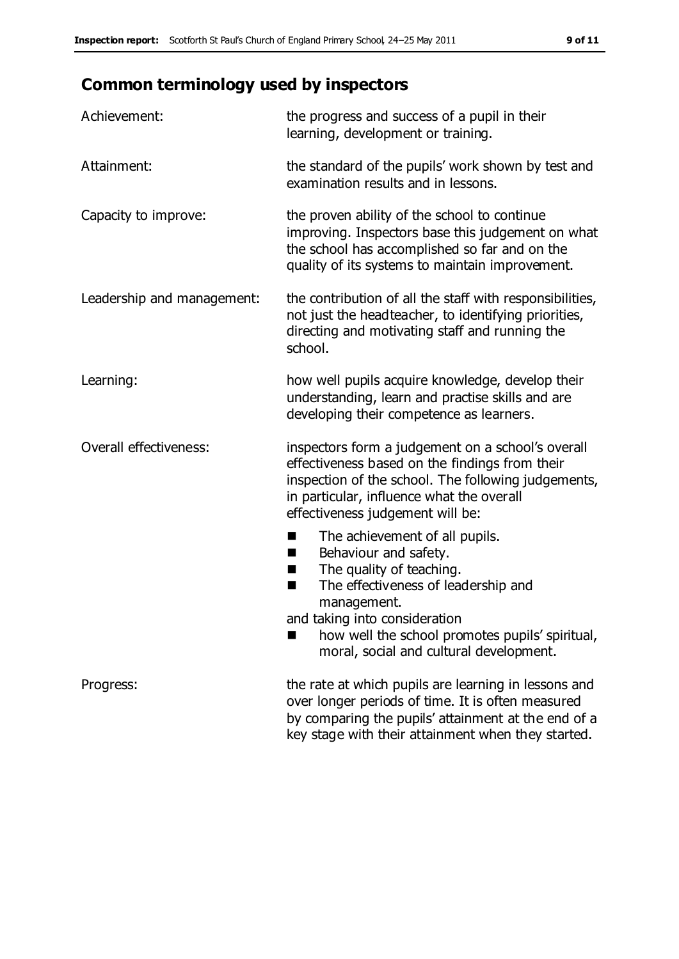# **Common terminology used by inspectors**

| Achievement:               | the progress and success of a pupil in their<br>learning, development or training.                                                                                                                                                                 |
|----------------------------|----------------------------------------------------------------------------------------------------------------------------------------------------------------------------------------------------------------------------------------------------|
| Attainment:                | the standard of the pupils' work shown by test and<br>examination results and in lessons.                                                                                                                                                          |
| Capacity to improve:       | the proven ability of the school to continue<br>improving. Inspectors base this judgement on what<br>the school has accomplished so far and on the<br>quality of its systems to maintain improvement.                                              |
| Leadership and management: | the contribution of all the staff with responsibilities,<br>not just the headteacher, to identifying priorities,<br>directing and motivating staff and running the<br>school.                                                                      |
| Learning:                  | how well pupils acquire knowledge, develop their<br>understanding, learn and practise skills and are<br>developing their competence as learners.                                                                                                   |
| Overall effectiveness:     | inspectors form a judgement on a school's overall<br>effectiveness based on the findings from their<br>inspection of the school. The following judgements,<br>in particular, influence what the overall<br>effectiveness judgement will be:        |
|                            | The achievement of all pupils.<br>H<br>Behaviour and safety.<br>ш<br>The quality of teaching.<br>H.<br>The effectiveness of leadership and<br>п<br>management.<br>and taking into consideration<br>how well the school promotes pupils' spiritual, |
|                            | moral, social and cultural development.                                                                                                                                                                                                            |
| Progress:                  | the rate at which pupils are learning in lessons and<br>over longer periods of time. It is often measured<br>by comparing the pupils' attainment at the end of a                                                                                   |

key stage with their attainment when they started.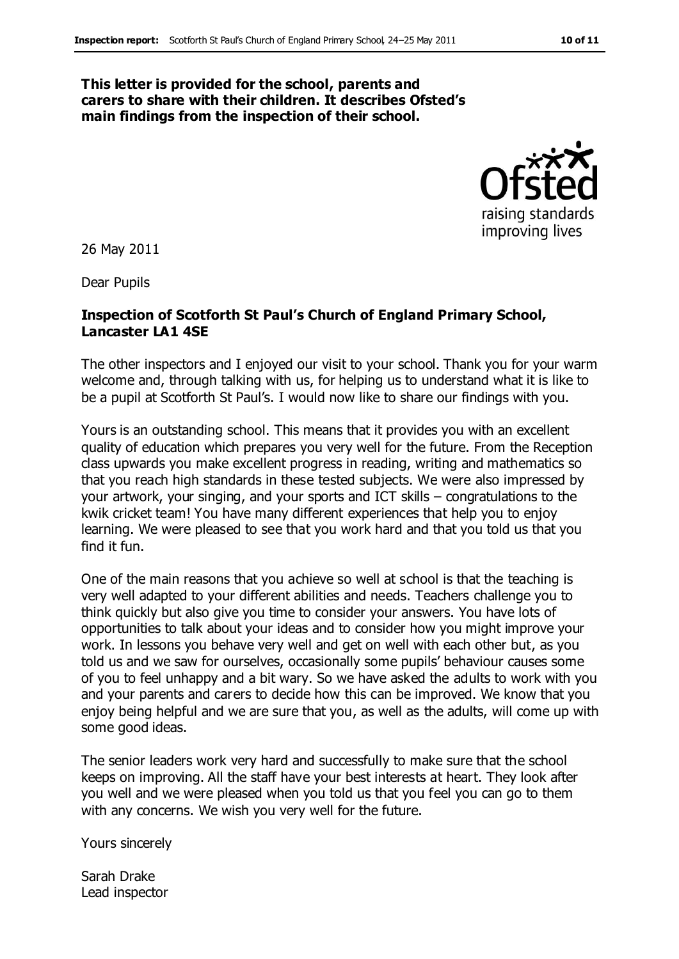#### **This letter is provided for the school, parents and carers to share with their children. It describes Ofsted's main findings from the inspection of their school.**



26 May 2011

Dear Pupils

#### **Inspection of Scotforth St Paul's Church of England Primary School, Lancaster LA1 4SE**

The other inspectors and I enjoyed our visit to your school. Thank you for your warm welcome and, through talking with us, for helping us to understand what it is like to be a pupil at Scotforth St Paul's. I would now like to share our findings with you.

Yours is an outstanding school. This means that it provides you with an excellent quality of education which prepares you very well for the future. From the Reception class upwards you make excellent progress in reading, writing and mathematics so that you reach high standards in these tested subjects. We were also impressed by your artwork, your singing, and your sports and ICT skills – congratulations to the kwik cricket team! You have many different experiences that help you to enjoy learning. We were pleased to see that you work hard and that you told us that you find it fun.

One of the main reasons that you achieve so well at school is that the teaching is very well adapted to your different abilities and needs. Teachers challenge you to think quickly but also give you time to consider your answers. You have lots of opportunities to talk about your ideas and to consider how you might improve your work. In lessons you behave very well and get on well with each other but, as you told us and we saw for ourselves, occasionally some pupils' behaviour causes some of you to feel unhappy and a bit wary. So we have asked the adults to work with you and your parents and carers to decide how this can be improved. We know that you enjoy being helpful and we are sure that you, as well as the adults, will come up with some good ideas.

The senior leaders work very hard and successfully to make sure that the school keeps on improving. All the staff have your best interests at heart. They look after you well and we were pleased when you told us that you feel you can go to them with any concerns. We wish you very well for the future.

Yours sincerely

Sarah Drake Lead inspector